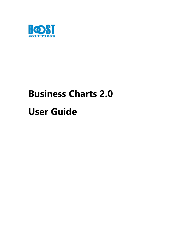

## **Business Charts 2.0**

# **User Guide**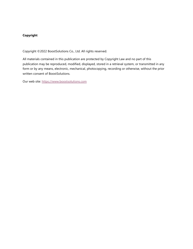#### **Copyright**

Copyright ©2022 BoostSolutions Co., Ltd. All rights reserved.

All materials contained in this publication are protected by Copyright Law and no part of this publication may be reproduced, modified, displayed, stored in a retrieval system, or transmitted in any form or by any means, electronic, mechanical, photocopying, recording or otherwise, without the prior written consent of BoostSolutions.

Our web site: [https://www.boostsolutions.com](https://www.boostsolutions.com/)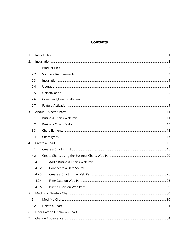## **Contents**

| 1. |       |  |  |  |  |
|----|-------|--|--|--|--|
| 2. |       |  |  |  |  |
|    | 2.1   |  |  |  |  |
|    | 2.2   |  |  |  |  |
|    | 2.3   |  |  |  |  |
|    | 2.4   |  |  |  |  |
|    | 2.5   |  |  |  |  |
|    | 2.6   |  |  |  |  |
|    | 2.7   |  |  |  |  |
| 3. |       |  |  |  |  |
|    | 3.1   |  |  |  |  |
|    | 3.2   |  |  |  |  |
|    | 3.3   |  |  |  |  |
|    | 3.4   |  |  |  |  |
| 4. |       |  |  |  |  |
|    | 4.1   |  |  |  |  |
|    | 4.2   |  |  |  |  |
|    | 4.2.1 |  |  |  |  |
|    | 4.2.2 |  |  |  |  |
|    | 4.2.3 |  |  |  |  |
|    | 4.2.4 |  |  |  |  |
|    | 4.2.5 |  |  |  |  |
| 5. |       |  |  |  |  |
|    | 5.1   |  |  |  |  |
|    | 5.2   |  |  |  |  |
| 6. |       |  |  |  |  |
| 7. |       |  |  |  |  |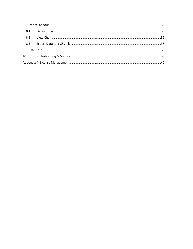| 8.1 |  |  |  |
|-----|--|--|--|
| 8.2 |  |  |  |
| 8.3 |  |  |  |
| 9   |  |  |  |
|     |  |  |  |
|     |  |  |  |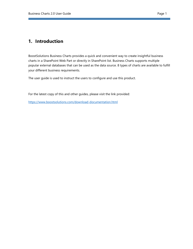## <span id="page-4-0"></span>**1. Introduction**

BoostSolutions Business Charts provides a quick and convenient way to create insightful business charts in a SharePoint Web Part or directly in SharePoint list. Business Charts supports multiple popular external databases that can be used as the data source. 8 types of charts are available to fulfill your different business requirements.

The user guide is used to instruct the users to configure and use this product.

For the latest copy of this and other guides, please visit the link provided:

<https://www.boostsolutions.com/download-documentation.html>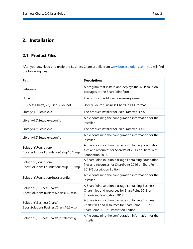## <span id="page-5-0"></span>**2. Installation**

## <span id="page-5-1"></span>**2.1 Product Files**

After you download and unzip the Business Charts zip file from [www.boostsolutions.com,](https://www.boostsolutions.com/) you will find the following files:

| Path                                                               | <b>Descriptions</b>                                                                                                                             |
|--------------------------------------------------------------------|-------------------------------------------------------------------------------------------------------------------------------------------------|
| Setup.exe                                                          | A program that installs and deploys the WSP solution<br>packages to the SharePoint farm.                                                        |
| EULA.rtf                                                           | The product End-User-License-Agreement.                                                                                                         |
| Business Charts_V2_User Guide.pdf                                  | User guide for Business Charts in PDF format.                                                                                                   |
| Library\4.0\Setup.exe                                              | The product installer for .Net Framework 4.0.                                                                                                   |
| Library\4.0\Setup.exe.config                                       | A file containing the configuration information for the<br>installer.                                                                           |
| Library\4.6\Setup.exe                                              | The product installer for .Net Framework 4.6.                                                                                                   |
| Library\4.6\Setup.exe.config                                       | A file containing the configuration information for the<br>installer.                                                                           |
| Solutions\Foundtion\<br>BoostSolutions.FoundationSetup15.1.wsp     | A SharePoint solution package containing Foundation<br>files and resources for SharePoint 2013 or SharePoint<br>Foundation 2013.                |
| Solutions\Foundtion\<br>BoostSolutions.FoundationSetup16.1.wsp     | A SharePoint solution package containing Foundation<br>files and resources for SharePoint 2016 or SharePoint<br>2019/Subscription Edition.      |
| Solutions\Foundtion\Install.config                                 | A file containing the configuration information for the<br>installer.                                                                           |
| Solutions\BusinessCharts\<br>BoostSolutions.BusinessCharts15.2.wsp | A SharePoint solution package containing Business<br>Charts files and resources for SharePoint 2013 or<br>SharePoint Foundation 2013.           |
| Solutions\BusinessCharts\<br>BoostSolutions.BusinessCharts16.2.wsp | A SharePoint solution package containing Business<br>Charts files and resources for SharePoint 2016 or<br>SharePoint 2019/Subscription Edition. |
| Solutions\BusinessCharts\Install.config                            | A file containing the configuration information for the<br>installer.                                                                           |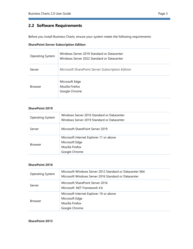## <span id="page-6-0"></span>**2.2 Software Requirements**

Before you install Business Charts, ensure your system meets the following requirements:

|  | <b>SharePoint Server Subscription Edition</b> |  |
|--|-----------------------------------------------|--|
|  |                                               |  |

| Operating System | Windows Server 2019 Standard or Datacenter<br>Windows Server 2022 Standard or Datacenter |
|------------------|------------------------------------------------------------------------------------------|
| Server           | Microsoft SharePoint Server Subscription Edition                                         |
| <b>Browser</b>   | Microsoft Edge<br>Mozilla Firefox<br>Google Chrome                                       |

#### **SharePoint 2019**

| <b>Operating System</b> | Windows Server 2016 Standard or Datacenter<br>Windows Server 2019 Standard or Datacenter      |
|-------------------------|-----------------------------------------------------------------------------------------------|
| Server                  | Microsoft SharePoint Server 2019                                                              |
| <b>Browser</b>          | Microsoft Internet Explorer 11 or above<br>Microsoft Edge<br>Mozilla Firefox<br>Google Chrome |

#### **SharePoint 2016**

| Operating System                                                           | Microsoft Windows Server 2012 Standard or Datacenter X64<br>Microsoft Windows Server 2016 Standard or Datacenter |  |
|----------------------------------------------------------------------------|------------------------------------------------------------------------------------------------------------------|--|
| Microsoft SharePoint Server 2016<br>Server<br>Microsoft .NET Framework 4.6 |                                                                                                                  |  |
| <b>Browser</b>                                                             | Microsoft Internet Explorer 10 or above<br>Microsoft Edge<br>Mozilla Firefox<br>Google Chrome                    |  |

#### **SharePoint 2013**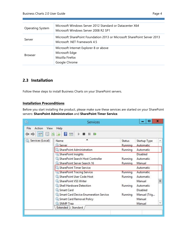| <b>Operating System</b> | Microsoft Windows Server 2012 Standard or Datacenter X64<br>Microsoft Windows Server 2008 R2 SP1         |
|-------------------------|----------------------------------------------------------------------------------------------------------|
| Server                  | Microsoft SharePoint Foundation 2013 or Microsoft SharePoint Server 2013<br>Microsoft .NET Framework 4.5 |
| <b>Browser</b>          | Microsoft Internet Explorer 8 or above<br>Microsoft Edge<br>Mozilla Firefox<br>Google Chrome             |

## <span id="page-7-0"></span>**2.3 Installation**

Follow these steps to install Business Charts on your SharePoint servers.

#### **Installation Preconditions**

Before you start installing the product, please make sure these services are started on your SharePoint servers: **SharePoint Administration** and **SharePoint Timer Service**.

| Ο,                     | <b>Services</b>                                    |         | о            | $\mathbf x$ |
|------------------------|----------------------------------------------------|---------|--------------|-------------|
| File<br>Action<br>View | Help                                               |         |              |             |
| 后<br>14                | $\mathbf{r}$<br>扉<br>$\blacksquare$<br>b<br>ш<br>澴 |         |              |             |
| Services (Local)       | Name                                               | Status  | Startup Type | ∧           |
|                        | <b>Server</b>                                      | Running | Automatic    |             |
|                        | SharePoint Administration                          | Running | Automatic    |             |
|                        | SharePoint Insights                                |         | Disabled     |             |
|                        | SharePoint Search Host Controller                  | Running | Automatic    |             |
|                        | SharePoint Server Search 16                        | Running | Manual       |             |
|                        | SharePoint Timer Service                           |         | Automatic    |             |
|                        | SharePoint Tracing Service                         | Running | Automatic    |             |
|                        | SharePoint User Code Host                          | Running | Automatic    |             |
|                        | SharePoint VSS Writer                              |         | Manual       | $\equiv$    |
|                        | Shell Hardware Detection                           | Running | Automatic    |             |
|                        | Smart Card                                         |         | Disabled     |             |
|                        | Smart Card Device Enumeration Service              | Running | Manual (Trig |             |
|                        | Smart Card Removal Policy                          |         | Manual       |             |
|                        | SNMP Trap                                          |         | Manual       | v           |
|                        | Extended \ Standard                                |         |              |             |
|                        |                                                    |         |              |             |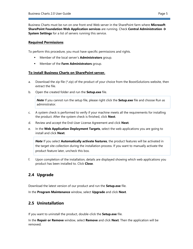Business Charts must be run on one front-end Web server in the SharePoint farm where **Microsoft SharePoint Foundation Web Application services** are running. Check **Central Administration** → **System Settings** for a list of servers running this service.

#### **Required Permissions**

To perform this procedure, you must have specific permissions and rights.

- Member of the local server's **Administrators** group.
- Member of the **Farm Administrators** group.

#### **To install Business Charts on SharePoint server.**

- a. Download the zip file  $(*.zip)$  of the product of your choice from the BoostSolutions website, then extract the file.
- b. Open the created folder and run the **Setup.exe** file.

*Note* If you cannot run the setup file, please right click the **Setup.exe** file and choose Run as administrator.

- c. A system check is performed to verify if your machine meets all the requirements for installing the product. After the system check is finished, click **Next**.
- d. Review and accept the End-User License Agreement and click **Next**.
- e. In the **Web Application Deployment Targets**, select the web applications you are going to install and click **Next**.

*Note* If you select **Automatically activate features**, the product features will be activated in the target site collection during the installation process. If you want to manually activate the product feature later, uncheck this box.

f. Upon completion of the installation, details are displayed showing which web applications you product has been installed to. Click **Close**.

## <span id="page-8-0"></span>**2.4 Upgrade**

Download the latest version of our product and run the **Setup.exe** file.

In the **Program Maintenance** window, select **Upgrade** and click **Next**.

### <span id="page-8-1"></span>**2.5 Uninstallation**

If you want to uninstall the product, double-click the **Setup.exe** file.

In the **Repair or Remove** window, select **Remove** and click **Next**. Then the application will be removed.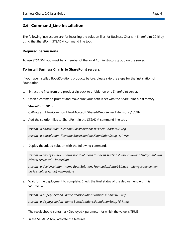## <span id="page-9-0"></span>**2.6 Command\_Line Installation**

The following instructions are for installing the solution files for Business Charts in SharePoint 2016 by using the SharePoint STSADM command line tool.

#### **Required permissions**

To use STSADM, you must be a member of the local Administrators group on the server.

#### **To install Business Charts to SharePoint servers.**

If you have installed BoostSolutions products before, please skip the steps for the installation of Foundation.

- a. Extract the files from the product zip pack to a folder on one SharePoint server.
- b. Open a command prompt and make sure your path is set with the SharePoint bin directory.

#### **SharePoint 2013**

C:\Program Files\Common Files\Microsoft Shared\Web Server Extensions\16\BIN

c. Add the solution files to SharePoint in the STSADM command line tool.

*stsadm -o addsolution -filename BoostSolutions.BusinessCharts16.2.wsp stsadm -o addsolution -filename BoostSolutions.FoundationSetup16.1.wsp*

d. Deploy the added solution with the following command:

*stsadm -o deploysolution -name BoostSolutions.BusinessCharts16.2.wsp -allowgacdeployment -- url [virtual server url] –immediate*

*stsadm -o deploysolution -name BoostSolutions.FoundationSetup16.1.wsp -allowgacdeployment – url [virtual server url] –immediate*

e. Wait for the deployment to complete. Check the final status of the deployment with this command:

*stsadm -o displaysolution -name BoostSolutions.BusinessCharts16.2.wsp stsadm -o displaysolution -name BoostSolutions.FoundationSetup16.1.wsp*

The result should contain a <Deployed> parameter for which the value is TRUE.

f. In the STSADM tool, activate the features.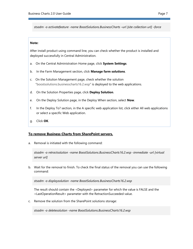*stsadm -o activatefeature -name BoostSolutions.BusinessCharts –url [site collection url] –force*

#### **Note:**

After install product using command line, you can check whether the product is installed and deployed successfully in Central Administration.

- a. On the Central Administration Home page, click **System Settings**.
- b. In the Farm Management section, click **Manage farm solutions**.
- c. On the Solution Management page, check whether the solution "boostsolutions.businesscharts16.2.wsp" is deployed to the web applications.
- d. On the Solution Properties page, click **Deploy Solution**.
- e. On the Deploy Solution page, in the Deploy When section, select **Now**.
- f. In the Deploy To? section, in the A specific web application list, click either All web applications or select a specific Web application.
- g. Click **OK**.

#### **To remove Business Charts from SharePoint servers.**

a. Removal is initiated with the following command:

*stsadm -o retractsolution -name BoostSolutions.BusinessCharts16.2.wsp -immediate -url [virtual server url]* 

b. Wait for the removal to finish. To check the final status of the removal you can use the following command:

*stsadm -o displaysolution -name BoostSolutions.BusinessCharts16.2.wsp*

The result should contain the <Deployed> parameter for which the value is FALSE and the <LastOperationResult> parameter with the RetractionSucceeded value.

c. Remove the solution from the SharePoint solutions storage:

*stsadm -o deletesolution -name BoostSolutions.BusinessCharts16.2.wsp*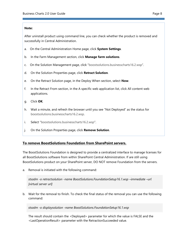#### **Note:**

After uninstall product using command line, you can check whether the product is removed and successfully in Central Administration.

- a. On the Central Administration Home page, click **System Settings**.
- b. In the Farm Management section, click **Manage farm solutions**.
- c. On the Solution Management page, click "boostsolutions.businesscharts16.2.wsp".
- d. On the Solution Properties page, click **Retract Solution**.
- e. On the Retract Solution page, in the Deploy When section, select **Now**.
- f. In the Retract From section, in the A specific web application list, click All content web applications.
- g. Click **OK**.
- h. Wait a minute, and refresh the browser until you see "Not Deployed" as the status for boostsolutions.businesscharts16.2.wsp.
- i. Select "boostsolutions.businesscharts16.2.wsp".
- j. On the Solution Properties page, click **Remove Solution**.

#### **To remove BoostSolutions Foundation from SharePoint servers.**

The BoostSolutions Foundation is designed to provide a centralized interface to manage licenses for all BoostSolutions software from within SharePoint Central Administration. If are still using BoostSolutions product on your SharePoint server, DO NOT remove Foundation from the servers.

a. Removal is initiated with the following command:

*stsadm -o retractsolution -name BoostSolutions.FoundationSetup16.1.wsp –immediate –url [virtual server url]*

b. Wait for the removal to finish. To check the final status of the removal you can use the following command:

*stsadm -o displaysolution -name BoostSolutions.FoundationSetup16.1.wsp*

The result should contain the <Deployed> parameter for which the value is FALSE and the <LastOperationResult> parameter with the RetractionSucceeded value.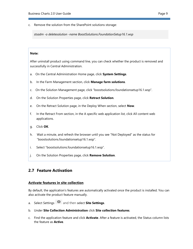c. Remove the solution from the SharePoint solutions storage:

*stsadm -o deletesolution -name BoostSolutions.FoundationSetup16.1.wsp*

#### **Note:**

After uninstall product using command line, you can check whether the product is removed and successfully in Central Administration.

- a. On the Central Administration Home page, click **System Settings**.
- b. In the Farm Management section, click **Manage farm solutions**.
- c. On the Solution Management page, click "boostsolutions.foundationsetup16.1.wsp".
- d. On the Solution Properties page, click **Retract Solution**.
- e. On the Retract Solution page, in the Deploy When section, select **Now**.
- f. In the Retract From section, in the A specific web application list, click All content web applications.
- g. Click **OK**.
- h. Wait a minute, and refresh the browser until you see "Not Deployed" as the status for "boostsolutions.foundationsetup16.1.wsp".
- i. Select "boostsolutions.foundationsetup16.1.wsp".
- j. On the Solution Properties page, click **Remove Solution**.

### <span id="page-12-0"></span>**2.7 Feature Activation**

#### **Activate features in site collection**

By default, the application's features are automatically activated once the product is installed. You can also activate the product feature manually.

- a. Select Settings and then select **Site Settings**.
- b. Under **Site Collection Administration** click **Site collection features**.
- c. Find the application feature and click **Activate**. After a feature is activated, the Status column lists the feature as **Active**.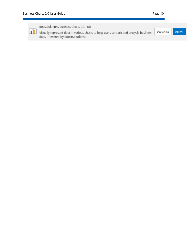BoostSolutions Business Charts 2.3.1.611 Visually represent data in various charts to help users to track and analysis business Active Deactivate data. (Powered by BoostSolutions)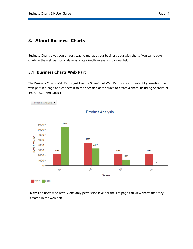## <span id="page-14-0"></span>**3. About Business Charts**

Business Charts gives you an easy way to manage your business data with charts. You can create charts in the web part or analyze list data directly in every individual list.

## <span id="page-14-1"></span>**3.1 Business Charts Web Part**

The Business Charts Web Part is just like the SharePoint Web Part, you can create it by inserting the web part in a page and connect it to the specified data source to create a chart, including SharePoint list, MS SQL and ORACLE.



*Note* End users who have **View Only** permission level for the site page can view charts that they created in the web part.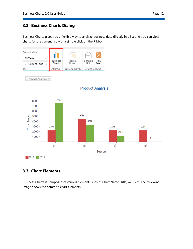<span id="page-15-0"></span>Business Charts gives you a flexible way to analyze business data directly in a list and you can view charts for the current list with a simple click on the Ribbon.



## <span id="page-15-1"></span>**3.3 Chart Elements**

Business Charts is composed of various elements such as Chart Name, Title, Axis, etc. The following image shows the common chart elements: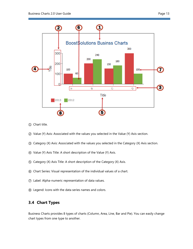

- Chart title.
- Value (Y) Axis: Associated with the values you selected in the Value (Y) Axis section.
- Category (X) Axis: Associated with the values you selected in the Category (X) Axis section.
- Value (Y) Axis Title: A short description of the Value (Y) Axis.
- Category (X) Axis Title: A short description of the Category (X) Axis.
- Chart Series: Visual representation of the individual values of a chart.
- Label: Alpha-numeric representation of data values.
- Legend: Icons with the data series names and colors.

## <span id="page-16-0"></span>**3.4 Chart Types**

Business Charts provides 8 types of charts (Column, Area, Line, Bar and Pie). You can easily change chart types from one type to another.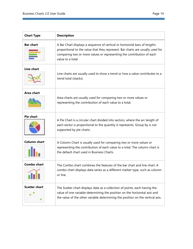ш,

| <b>Chart Type</b>    | <b>Description</b>                                                                                                                                                                                                                                        |
|----------------------|-----------------------------------------------------------------------------------------------------------------------------------------------------------------------------------------------------------------------------------------------------------|
| <b>Bar chart</b>     | A Bar Chart displays a sequence of vertical or horizontal bars of lengths<br>proportional to the value that they represent. Bar charts are usually used for<br>comparing two or more values or representing the contribution of each<br>value to a total. |
| Line chart           | Line charts are usually used to show a trend or how a value contributes to a<br>trend total (stacks).                                                                                                                                                     |
| Area chart           | Area charts are usually used for comparing two or more values or<br>representing the contribution of each value to a total.                                                                                                                               |
| <b>Pie chart</b>     | A Pie Chart is a circular chart divided into sectors, where the arc length of<br>each sector is proportional to the quantity it represents. Group by is not<br>supported by pie charts.                                                                   |
| <b>Column chart</b>  | A Column Chart is usually used for comparing two or more values or<br>representing the contribution of each value to a total. The column chart is<br>the default chart used in Business Charts.                                                           |
| <b>Combo chart</b>   | The Combo chart combines the features of the bar chart and line chart. A<br>combo chart displays data series as a different marker type, such as column<br>or line.                                                                                       |
| <b>Scatter chart</b> | The Scatter chart displays data as a collection of points, each having the<br>value of one variable determining the position on the horizontal axis and<br>the value of the other variable determining the position on the vertical axis.                 |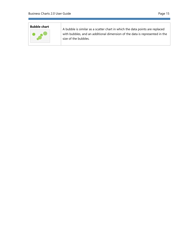# **Bubble chart**

A bubble is similar as a scatter chart in which the data points are replaced with bubbles, and an additional dimension of the data is represented in the size of the bubbles.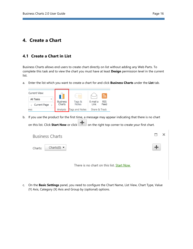## <span id="page-19-0"></span>**4. Create a Chart**

## <span id="page-19-1"></span>**4.1 Create a Chart in List**

Business Charts allows end users to create chart directly on list without adding any Web Parts. To complete this task and to view the chart you must have at least **Design** permission level in the current list.

a. Enter the list which you want to create a chart for and click **Business Charts** under the **List** tab.

| Current View: |                 |                |                 |
|---------------|-----------------|----------------|-----------------|
| All Tasks     | <b>Business</b> | Tags &         | E-mail a<br>RSS |
| Current Page  | Charts          | <b>Notes</b>   | Feed<br>Link    |
| ews           | Analysis        | Tags and Notes | Share & Track   |

b. If you use the product for the first time, a message may appear indicating that there is no chart

on this list. Click **Start Now** or click **for the right top corner to create your first chart.** 

| <b>Business Charts</b>                    |                                           |  |
|-------------------------------------------|-------------------------------------------|--|
| Charts(0) $\blacktriangledown$<br>Charts: |                                           |  |
|                                           | There is no chart on this list. Start Now |  |

c. On the **Basic Settings** panel, you need to configure the Chart Name, List View, Chart Type, Value (Y) Axis, Category (X) Axis and Group by (optional) options.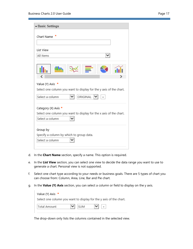| Page |  |  |
|------|--|--|
|      |  |  |

| - Basic Settings                                                                                                    |
|---------------------------------------------------------------------------------------------------------------------|
| Chart Name                                                                                                          |
| List View                                                                                                           |
| $\check{ }$<br>All Items                                                                                            |
| ℯ                                                                                                                   |
| Value (Y) Axis<br>Select one column you want to display for the y axis of the chart.<br>ORIGINAL<br>Select a column |
| Category (X) Axis *                                                                                                 |
| Select one column you want to display for the x axis of the chart.                                                  |
| Select a column                                                                                                     |
| Group by                                                                                                            |
| Specify a column by which to group data.                                                                            |
| Select a column                                                                                                     |
|                                                                                                                     |

- d. In the **Chart Name** section, specify a name. This option is required.
- e. In the **List View** section, you can select one view to decide the data range you want to use to generate a chart. Personal view is not supported.
- f. Select one chart type according to your needs or business goals. There are 5 types of chart you can choose from: Column, Area, Line, Bar and Pie chart.
- g. In the **Value (Y) Axis** section, you can select a column or field to display on the y axis.

| Value (Y) Axis *                                                   |                                                   |  |
|--------------------------------------------------------------------|---------------------------------------------------|--|
| Select one column you want to display for the y axis of the chart. |                                                   |  |
| Total Amount                                                       | $\vert \vee \vert$ +<br>$\blacktriangleright$ sum |  |

The drop-down only lists the columns contained in the selected view.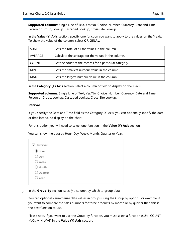**Supported columns**: Single Line of Text, Yes/No, Choice, Number, Currency, Date and Time, Person or Group, Lookup, Cascaded Lookup, Cross-Site Lookup.

h. In the **Value (Y) Axis** section, specify one function you want to apply to the values on the Y axis. To show the value of the column, select **ORIGINAL**.

| <b>SUM</b>   | Gets the total of all the values in the column.         |
|--------------|---------------------------------------------------------|
| AVERAGE      | Calculate the average for the values in the column.     |
| <b>COUNT</b> | Get the count of the records for a particular category. |
| <b>MIN</b>   | Gets the smallest numeric value in the column.          |
| <b>MAX</b>   | Gets the largest numeric value in the column.           |

i. In the **Category (X) Axis** section, select a column or field to display on the X axis.

**Supported columns**: Single Line of Text, Yes/No, Choice, Number, Currency, Date and Time, Person or Group, Lookup, Cascaded Lookup, Cross-Site Lookup.

#### **Interval**

If you specify the Data and Time field as the Category (X) Axis, you can optionally specify the date or time interval to display on the chart.

For this option you will need to select one function in the **Value (Y) Axis** section.

You can show the data by Hour, Day, Week, Month, Quarter or Year.

| $\sqrt{}$ Interval    |  |  |
|-----------------------|--|--|
| $\circledbullet$ Hour |  |  |
| $\bigcirc$ Day        |  |  |
| $\bigcirc$ Week       |  |  |
| $\bigcirc$ Month      |  |  |
| O Quarter             |  |  |
| $\bigcirc$ Year       |  |  |
|                       |  |  |

j. In the **Group By** section, specify a column by which to group data.

You can optionally summarize data values in groups using the Group by option. For example, if you want to compare the sales numbers for three products by month or by quarter then this is the best function to use.

Please note, if you want to use the Group by function, you must select a function (SUM, COUNT, MAX, MIN, AVG) in the **Value (Y) Axis** section.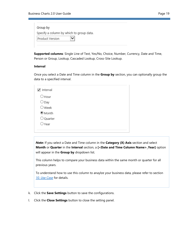| Group by                                 |
|------------------------------------------|
| Specify a column by which to group data. |
| Product Version                          |

**Supported columns**: Single Line of Text, Yes/No, Choice, Number, Currency, Date and Time, Person or Group, Lookup, Cascaded Lookup, Cross-Site Lookup.

#### **Interval**

Once you select a Date and Time column in the **Group by** section, you can optionally group the data to a specified interval.

| Interval<br>✓   |  |  |  |
|-----------------|--|--|--|
| $\bigcirc$ Hour |  |  |  |
| $\bigcirc$ Day  |  |  |  |
| $\bigcirc$ Week |  |  |  |
| <b>Month</b>    |  |  |  |
| O Quarter       |  |  |  |
| $\bigcirc$ Year |  |  |  |
|                 |  |  |  |

*Note***:** If you select a Date and Time column in the **Category (X) Axis** section and select **Month** or **Quarter** in the **Interval** section, a **[<Date and Time Column Name>\_Year]** option will appear in the **Group by** dropdown list.

This column helps to compare your business data within the same month or quarter for all previous years.

To understand how to use this column to anaylze your business data, please refer to section *[10. Use Case](#page-39-0)* for details.

- k. Click the **Save Settings** button to save the configurations.
- l. Click the **Close Settings** button to close the setting panel.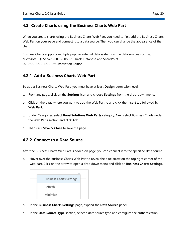## <span id="page-23-0"></span>**4.2 Create Charts using the Business Charts Web Part**

When you create charts using the Business Charts Web Part, you need to first add the Business Charts Web Part on your page and connect it to a data source. Then you can change the appearance of the chart.

Business Charts supports multiple popular external data systems as the data sources such as, Microsoft SQL Server 2000-2008 R2, Oracle Database and SharePoint 2010/2013/2016/2019/Subscription Edition.

## <span id="page-23-1"></span>**4.2.1 Add a Business Charts Web Part**

To add a Business Charts Web Part, you must have at least **Design** permission level.

- a. From any page, click on the **Settings** icon and choose **Settings** from the drop-down menu.
- b. Click on the page where you want to add the Web Part to and click the **Insert** tab followed by **Web Part**.
- c. Under Categories, select **BoostSolutions Web Parts** category. Next select Business Charts under the Web Parts section and click **Add**.
- d. Then click **Save & Close** to save the page.

## <span id="page-23-2"></span>**4.2.2 Connect to a Data Source**

After the Business Charts Web Part is added on page, you can connect it to the specified data source.

a. Hover over the Business Charts Web Part to reveal the blue arrow on the top right corner of the web part. Click on the arrow to open a drop down menu and click on **Business Charts Settings**.



- b. In the **Business Charts Settings** page, expand the **Data Source** panel.
- c. In the **Data Source Type** section, select a data source type and configure the authentication.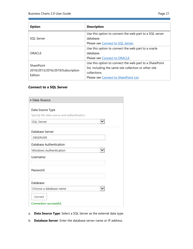| r |
|---|
|---|

| <b>Option</b>                               | <b>Description</b>                                                   |
|---------------------------------------------|----------------------------------------------------------------------|
| SQL Server                                  | Use this option to connect the web part to a SQL server<br>database. |
|                                             | Please see Connect to SQL Server.                                    |
|                                             | Use this option to connect the web part to a oracle                  |
| ORACLE                                      | database.                                                            |
|                                             | Please see Connect to ORACLE.                                        |
| <b>SharePoint</b>                           | Use this option to connect the web part to a SharePoint              |
| 2010/2013/2016/2019/Subscription<br>Edition | list, including the same site collection or other site               |
|                                             | collections.                                                         |
|                                             | Please see Connect to SharePoint List.                               |

## <span id="page-24-0"></span>**Connect to a SQL Server**

| Data Source                                 |
|---------------------------------------------|
|                                             |
| Data Source Type                            |
| Specify the data source and authentication. |
| $\check{ }$<br>SQL Server                   |
|                                             |
| Database Server:                            |
| <b>DBSERVER</b>                             |
| Database Authentication                     |
| Windows Authentication<br>$\check{ }$       |
| Username:                                   |
|                                             |
| Password:                                   |
|                                             |
| Database:                                   |
| Choose a database name<br>◡                 |
| Connect                                     |
| Connection successful.                      |

- a. **Data Source Type**: Select a SQL Server as the external data type.
- b. **Database Server**: Enter the database server name or IP address.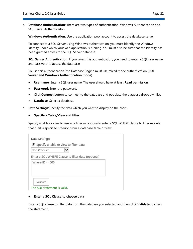c. **Database Authentication**: There are two types of authentication, Windows Authentication and SQL Server Authenticaiton.

**Windows Authentication**: Use the application pool account to access the database server.

To connect to a SQL Server using Windows authentication, you must identify the Windows identity under which your web application is running. You must also be sure that the identity has been granted access to the SQL Server database.

**SQL Server Authentication**: If you select this authentication, you need to enter a SQL user name and password to access the database.

To use this authentication, the Database Engine must use mixed mode authentication (**SQL Server and Windows Authentication mode**).

- **Username**: Enter a SQL user name. The user should have at least **Read** permission.
- **Password**: Enter the password.
- Click **Connect** button to connect to the database and populate the database dropdown list.
- **Database**: Select a database.
- d. **Data Settings**: Specify the data which you want to display on the chart.

#### • **Specify a Table/View and filter**

Specify a table or view to use as a filter or optionally enter a SQL WHERE clause to filter records that fulfill a specified criterion from a database table or view.

| Data Settings:                                     |
|----------------------------------------------------|
| $\bullet$ Specify a table or view to filter data   |
| ◡<br>dbo.Product                                   |
| Enter a SQL WHERE Clause to filter data (optional) |
| Where $ID < =500$                                  |
|                                                    |
|                                                    |
| Validate                                           |
| The SQL statement is valid.                        |

#### • **Enter a SQL Clause to choose data**

Enter a SQL clause to filter data from the database you selected and then click **Validate** to check the statement.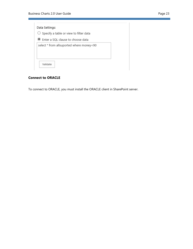| Data Settings: |                                                   |  |
|----------------|---------------------------------------------------|--|
|                | $\bigcirc$ Specify a table or view to filter data |  |
|                | <b>Theory Enter a SQL clause to choose data</b>   |  |
|                | select * from allsuported where money<90          |  |
| Validate       |                                                   |  |

## <span id="page-26-0"></span>**Connect to ORACLE**

To connect to ORACLE, you must install the ORACLE client in SharePoint server.

 $\sim$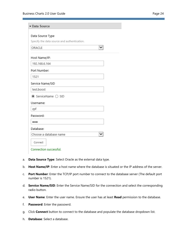| ane |  |  |
|-----|--|--|
|-----|--|--|

| Data Source                                 |              |
|---------------------------------------------|--------------|
|                                             |              |
| Data Source Type                            |              |
| Specify the data source and authentication. |              |
| ORACLE                                      | $\checkmark$ |
| Host Name/IP:                               |              |
| 192.168.6.164                               |              |
| Port Number:                                |              |
| 1521                                        |              |
| Service Name/SID                            |              |
| test.boost                                  |              |
| $\odot$ ServiceName $\bigcirc$ SID          |              |
| Username:                                   |              |
| zpf                                         |              |
| Password:                                   |              |
|                                             |              |
| Database:                                   |              |
| Choose a database name                      | $\check{ }$  |
| Connect                                     |              |
| Connection successful.                      |              |
|                                             |              |

- a. **Data Source Type**: Select Oracle as the external data type.
- b. **Host Name/IP**: Enter a host name where the database is situated or the IP address of the server.
- c. **Port Number**: Enter the TCP/IP port number to connect to the database server (The default port number is 1521).
- d. **Service Name/SID**: Enter the Service Name/SID for the connection and select the corresponding radio button.
- e. **User Name**: Enter the user name. Ensure the user has at least **Read** permission to the database.
- f. **Password**: Enter the passowrd.
- g. Click **Connect** button to connect to the database and populate the database dropdown list.
- h. **Database**: Select a database.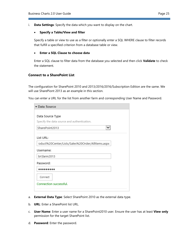i. **Data Settings**: Specify the data which you want to display on the chart.

#### • **Specify a Table/View and filter**

Specify a table or view to use as a filter or optionally enter a SQL WHERE clause to filter records that fulfill a specified criterion from a database table or view.

#### • **Enter a SQL Clause to choose data**

Enter a SQL clause to filter data from the database you selected and then click **Validate** to check the statement.

#### <span id="page-28-0"></span>**Connect to a SharePoint List**

The configuration for SharePoint 2010 and 2013/2016/2016/Subscription Edition are the same. We will use SharePiont 2013 as an example in this section.

You can enter a URL for the list from another farm and corresponding User Name and Password.

| Data Source                                      |
|--------------------------------------------------|
| Data Source Type                                 |
| Specify the data source and authentication.      |
| ◡<br>SharePoint2013                              |
| List URL:                                        |
| oduct%20Center/Lists/Sales%20Order/AllItems.aspx |
| Username:                                        |
| br\farm2013                                      |
| Password:                                        |
|                                                  |
| Connect                                          |
| Connection successful.                           |
|                                                  |

- a. **External Data Type**: Select SharePoint 2010 as the external data type.
- b. **URL**: Enter a SharePoint list URL.
- c. **User Name**: Enter a user name for a SharePoint2010 user. Ensure the user has at least **View only** permission for the target SharePoint list.
- d. **Password**: Enter the password.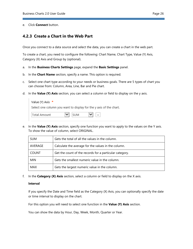#### e. Click **Connect** button.

### <span id="page-29-0"></span>**4.2.3 Create a Chart in the Web Part**

Once you connect to a data source and select the data, you can create a chart in the web part.

To create a chart, you need to configure the following: Chart Name, Chart Type, Value (Y) Axis, Category (X) Axis and Group by (optional).

- a. In the **Business Charts Settings** page, expand the **Basic Settings** panel.
- b. In the **Chart Name** section, specify a name. This option is required.
- c. Select one chart type according to your needs or business goals. There are 5 types of chart you can choose from: Column, Area, Line, Bar and Pie chart.
- d. In the **Value (Y) Axis** section, you can select a column or field to display on the y axis.

| Value (Y) Axis *                                                   |                           |                                          |  |
|--------------------------------------------------------------------|---------------------------|------------------------------------------|--|
| Select one column you want to display for the y axis of the chart. |                           |                                          |  |
| Total Amount                                                       | $\blacktriangleright$ sum | $\vert \mathbf{v} \vert \vert$ + $\vert$ |  |

e. In the **Value (Y) Axis** section, specify one function you want to apply to the values on the Y axis. To show the value of column, select ORIGINAL.

| <b>SUM</b>   | Gets the total of all the values in the column.         |
|--------------|---------------------------------------------------------|
| AVERAGE      | Calculate the average for the values in the column.     |
| <b>COUNT</b> | Get the count of the records for a particular category. |
| <b>MIN</b>   | Gets the smallest numeric value in the column.          |
| <b>MAX</b>   | Gets the largest numeric value in the column.           |

f. In the **Category (X) Axis** section, select a column or field to display on the X axis.

#### **Interval**

If you specify the Date and Time field as the Category (X) Axis, you can optionally specify the date or time interval to display on the chart.

For this option you will need to select one function in the **Value (Y) Axis** section.

You can show the data by Hour, Day, Week, Month, Quarter or Year.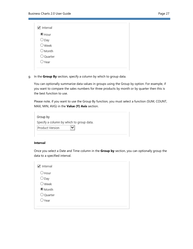| $\checkmark$<br>Interval |  |  |
|--------------------------|--|--|
| $\odot$ Hour             |  |  |
| $\bigcirc$ Day           |  |  |
| $\bigcirc$ Week          |  |  |
| $\bigcirc$ Month         |  |  |
| O Quarter                |  |  |
| $\bigcirc$ Year          |  |  |

g. In the **Group By** section, specify a column by which to group data.

You can optionally summarize data values in groups using the Group by option. For example, if you want to compare the sales numbers for three products by month or by quarter then this is the best function to use.

Please note, if you want to use the Group By function, you must select a function (SUM, COUNT, MAX, MIN, AVG) in the **Value (Y) Axis** section.

| Group by        |                                          |
|-----------------|------------------------------------------|
|                 | Specify a column by which to group data. |
| Product Version |                                          |

#### **Interval**

Once you select a Date and Time column in the **Group by** section, you can optionally group the data to a specified interval.

| Interval<br>✓   |  |  |  |
|-----------------|--|--|--|
| $\bigcirc$ Hour |  |  |  |
| $\bigcirc$ Day  |  |  |  |
| $\bigcirc$ Week |  |  |  |
| O Month         |  |  |  |
| O Quarter       |  |  |  |
| ○Year           |  |  |  |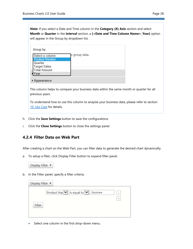*Note***:** If you select a Date and Time column in the **Category (X) Axis** section and select **Month** or **Quarter** in the **Interval** section, a **[<Date and Time Column Name>\_Year]** option will appear in the Group by dropdown list.

| Group by               |               |
|------------------------|---------------|
| Select a column        | o group data. |
| <b>Product Version</b> |               |
| Quarter                |               |
| <b>Target Sales</b>    |               |
| <b>Total Amount</b>    |               |
| ′ear                   |               |
| pearance               |               |

This column helps to compare your business data within the same month or quarter for all previous years.

To understand how to use this column to anaylze your business data, please refer to section *[10. Use Case](#page-39-0)* for details.

- h. Click the **Save Settings** button to save the configurations.
- i. Click the **Close Settings** button to close the settings panel.

## <span id="page-31-0"></span>**4.2.4 Filter Data on Web Part**

After creating a chart on the Web Part, you can filter data to generate the desired chart dynamically.

a. To setup a filter, click Display Filter button to expand filter panel.



b. In the Filter panel, specify a filter criteria.

| Display Filter $\blacktriangleright$ |                                                                                                |
|--------------------------------------|------------------------------------------------------------------------------------------------|
| Filter                               | Product Nar $ \vee $ is equal to $ \vee $<br>Docshare<br>$\overline{\phantom{a}}$<br>$\ddot{}$ |

• Select one column in the first drop-down menu.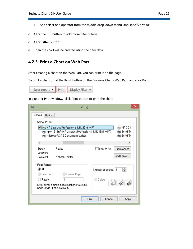- And select one operator from the middle drop-down menu, and specify a value.
- c. Click the  $\boxed{+}$  button to add more filter criteria.
- d. Click **Filter** button.
- e. Then the chart will be created using the filter data.

## <span id="page-32-0"></span>**4.2.5 Print a Chart on Web Part**

After creating a chart on the Web Part, you can print it on the page.

To print a chart, , find the **Print** button on the Business Charts Web Part, and click Print.

|  | Sales report v   Print   Display Filter v |
|--|-------------------------------------------|

In explorer Print window, click Print button to print the chart.

|                                               | Print                                                                                               | ×                                                             |
|-----------------------------------------------|-----------------------------------------------------------------------------------------------------|---------------------------------------------------------------|
| General<br>Options<br><b>Select Printer</b>   | O By HP LaserJet Professional M1213nf MFP                                                           | <b>OR NPI3C1.</b>                                             |
| ∢                                             | hpm1213nf (HP LaserJet Professional M1213nf MFP)<br>Microsoft XPS Document Writer                   | — Send To<br>⊯ Send To<br>У.                                  |
| Status:<br>Location:<br>Comment:              | Ready<br>Network Printer                                                                            | Preferences<br>Print to file<br>Find Printer                  |
| Page Range<br>(O AII<br>◯ Selection<br>Pages: | Current Page<br>1<br>Enter either a single page number or a single<br>page range. For example, 5-12 | ≑∣<br>Number of copies:<br>1<br>Collate<br>$11$ $22$<br>$3^3$ |
|                                               |                                                                                                     | Print<br>Cancel<br><b>Apply</b>                               |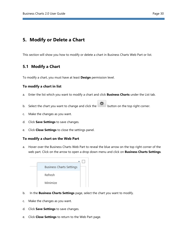## <span id="page-33-0"></span>**5. Modify or Delete a Chart**

This section will show you how to modify or delete a chart in Business Charts Web Part or list.

## <span id="page-33-1"></span>**5.1 Modify a Chart**

To modify a chart, you must have at least **Design** permission level.

#### **To modify a chart in list**

- a. Enter the list which you want to modify a chart and click **Business Charts** under the List tab.
- b. Select the chart you want to change and click the button on the top right corner.
- c. Make the changes as you want.
- d. Click **Save Settings** to save changes.
- e. Click **Close Settings** to close the settings panel.

#### **To modify a chart on the Web Part**

a. Hover over the Business Charts Web Part to reveal the blue arrow on the top right corner of the web part. Click on the arrow to open a drop down menu and click on **Business Charts Settings**.



- b. In the **Business Charts Settings** page, select the chart you want to modify.
- c. Make the changes as you want.
- d. Click **Save Settings** to save changes.
- e. Click **Close Settings** to return to the Web Part page.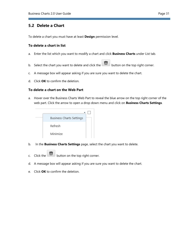## <span id="page-34-0"></span>**5.2 Delete a Chart**

To delete a chart you must have at least **Design** permission level.

#### **To delete a chart in list**

- a. Enter the list which you want to modify a chart and click **Business Charts** under List tab.
- b. Select the chart you want to delete and click the button on the top right corner.
- c. A message box will appear asking if you are sure you want to delete the chart.
- d. Click **OK** to confirm the deletion.

#### **To delete a chart on the Web Part**

a. Hover over the Business Charts Web Part to reveal the blue arrow on the top right corner of the web part. Click the arrow to open a drop down menu and click on **Business Charts Settings**.



- b. In the **Business Charts Settings** page, select the chart you want to delete.
- c. Click the  $\Box$  button on the top right corner.
- d. A message box will appear asking if you are sure you want to delete the chart.
- e. Click **OK** to confirm the deletion.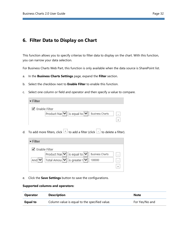## <span id="page-35-0"></span>**6. Filter Data to Display on Chart**

This function allows you to specify criterias to filter data to display on the chart. With this function, you can narrow your data selection.

For Business Charts Web Part, this function is only available when the data source is SharePoint list.

- a. In the **Business Charts Settings** page, expand the **Filter** section.
- b. Select the checkbox next to **Enable Filter** to enable this function.
- c. Select one column or field and operator and then specify a value to compare.

| $\overline{\phantom{0}}$ Filter                                                            |  |
|--------------------------------------------------------------------------------------------|--|
| ✔ Enable Filter<br>Product Nar $ \mathbf{v}  $ is equal to $ \mathbf{v}  $ Business Charts |  |

d. To add more filters, click  $\pm$  to add a filter (click  $\pm$  to delete a filter).

| $\overline{\phantom{a}}$ Filter |                                                              |                        |  |
|---------------------------------|--------------------------------------------------------------|------------------------|--|
| ✔ Enable Filter                 |                                                              |                        |  |
|                                 | Product Nar $ \mathbf{v} $ is equal to $ \mathbf{v} $        | <b>Business Charts</b> |  |
| And $\vee$                      | Total Amou $ \mathbf{v}  $ is greater $ \mathbf{v}  $ 100000 |                        |  |
|                                 |                                                              |                        |  |
|                                 |                                                              |                        |  |

e. Click the **Save Settings** button to save the configurations.

#### **Supported columns and operators:**

| <b>Operator</b> | <b>Description</b>                            | <b>Note</b>    |
|-----------------|-----------------------------------------------|----------------|
| Equal to        | Column value is equal to the specified value. | For Yes/No and |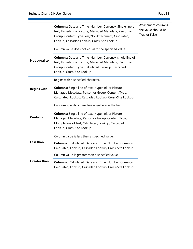<u> Andrew Maria (1989)</u>

|                    | <b>Columns:</b> Date and Time, Number, Currency, Single line of<br>text, Hyperlink or Picture, Managed Metadata, Person or                                                                                   | Attachment columns,<br>the value should be |
|--------------------|--------------------------------------------------------------------------------------------------------------------------------------------------------------------------------------------------------------|--------------------------------------------|
|                    | Group, Content Type, Yes/No, Attachment, Calculated,<br>Lookup, Cascaded Lookup, Cross-Site Lookup                                                                                                           | True or False.                             |
|                    | Column value does not equal to the specified value.                                                                                                                                                          |                                            |
| Not equal to       | <b>Columns:</b> Date and Time, Number, Currency, single line of<br>text, Hyperlink or Picture, Managed Metadata, Person or<br>Group, Content Type, Calculated, Lookup, Cascaded<br>Lookup, Cross-Site Lookup |                                            |
|                    | Begins with a specified character.                                                                                                                                                                           |                                            |
| <b>Begins with</b> | <b>Columns:</b> Single line of text, Hyperlink or Picture,<br>Managed Metadata, Person or Group, Content Type,<br>Calculated, Lookup, Cascaded Lookup, Cross-Site Lookup                                     |                                            |
|                    | Contains specific characters anywhere in the text.                                                                                                                                                           |                                            |
| <b>Contains</b>    | <b>Columns:</b> Single line of text, Hyperlink or Picture,<br>Managed Metadata, Person or Group, Content Type,<br>Multiple line of text, Calculated, Lookup, Cascaded<br>Lookup, Cross-Site Lookup           |                                            |
|                    | Column value is less than a specified value.                                                                                                                                                                 |                                            |
| <b>Less than</b>   | <b>Columns:</b> Calculated, Date and Time, Number, Currency,<br>Calculated, Lookup, Cascaded Lookup, Cross-Site Lookup                                                                                       |                                            |
|                    | Column value is greater than a specified value.                                                                                                                                                              |                                            |
| Greater than       | <b>Columns:</b> Calculated, Date and Time, Number, Currency,<br>Calculated, Lookup, Cascaded Lookup, Cross-Site Lookup                                                                                       |                                            |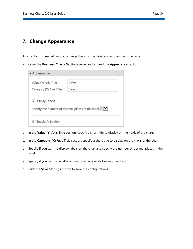## <span id="page-37-0"></span>**7. Change Appearance**

After a chart is created, you can change the axis title, label and add animation effects.

a. Open the **Business Charts Settings** panel and expand the **Appearance** section.

| $\blacktriangleright$ Appearance |                                                                                |
|----------------------------------|--------------------------------------------------------------------------------|
|                                  |                                                                                |
| Value (Y) Axis Title             | Sales                                                                          |
| Category (X) Axis Title          | Season                                                                         |
| ■ Display Labels                 | Specify the number of decimal places in the label: $ 2 $ $\blacktriangleright$ |
| Enable Animation                 |                                                                                |

- b. In the **Value (Y) Axis Title** section, specify a short title to display on the x axis of the chart.
- c. In the **Category (X) Axis Title** section, specify a short title to display on the y axis of the chart.
- d. Specify if you want to display labels on the chart and specify the number of decimal places in the label.
- e. Specify if you want to enable animation effects while loading the chart.
- f. Click the **Save Settings** button to save the configurations.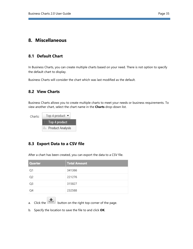## <span id="page-38-1"></span><span id="page-38-0"></span>**8.1 Default Chart**

In Business Charts, you can create multiple charts based on your need. There is not option to specify the default chart to display.

Business Charts will consider the chart which was last modified as the default.

## <span id="page-38-2"></span>**8.2 View Charts**

Business Charts allows you to create multiple charts to meet your needs or business requirements. To view another chart, select the chart name in the **Charts** drop-down list.

| Charts: | Top 4 product $\blacktriangleright$ |
|---------|-------------------------------------|
|         | $\therefore$ Top 4 product          |
|         | Illi Product Analysis               |

## <span id="page-38-3"></span>**8.3 Export Data to a CSV file**

Quarter **Total Amount**  $O<sub>1</sub>$ 341366 O<sub>2</sub> 221276 Q3 315827 Q4 232588

After a chart has been created, you can export the data to a CSV file.

- a. Click the button on the right top corner of the page.
- b. Specify the location to save the file to and click **OK**.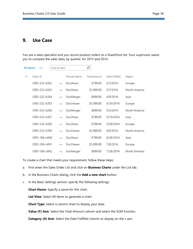## <span id="page-39-0"></span>**9. Use Case**

You are a sales specialist and you record product orders to a SharePoint list. Your supervisor wants you to compare the sales data, by quarter, for 2013 and 2014.

| All Items | $-0.06$      | Find an item |              | α            |                |               |
|-----------|--------------|--------------|--------------|--------------|----------------|---------------|
| ✓         | Order ID     |              | Product Name | Total Amount | Date Fulfilled | Region        |
|           | ORD-232-A3E2 | $\cdots$     | DocShare     | \$799.00     | 3/1/2014       | Europe        |
|           | ORD-232-A3E3 |              | DocShare     | \$1,099.00   | 3/7/2014       | North America |
|           | ORD-232-A3E4 |              | DocMerger    | \$699.00     | 4/9/2014       | Asia          |
|           | ORD-232-A3E5 |              | DocViewer    | \$1,099.00   | 4/10/2014      | Europe        |
|           | ORD-232-A3E6 |              | DocMerger    | \$699.00     | 5/3/2014       | North America |
|           | ORD-232-A3E7 |              | DocShare     | \$799.00     | 5/15/2014      | Asia          |
|           | ORD-232-A3E8 | $\cdots$     | DocShare     | \$799.00     | 5/28/2014      | Europe        |
|           | ORD-232-A3E9 |              | DocViewer    | \$1,899.00   | 6/6/2014       | North America |
|           | ORD-106-L4N0 |              | DocShare     | \$799.00     | 6/28/2014      | Asia          |
|           | ORD-106-L4N1 | $\cdots$     | DocViewer    | \$1,899.00   | 7/8/2014       | Europe        |
|           | ORD-106-L4N2 |              | DocMerger    | \$699.00     | 7/28/2014      | North America |

To create a chart that meets your requirement, follow these steps:

- a. First enter the Sales Order List and click on **Business Charts** under the List tab.
- b. In the Business Charts dialog, click the **Add a new chart** button.
- c. In the Basic Settings section, specify the following settings:

**Chart Name**: Specify a name for this chart.

**List View**: Select All Items to generate a chart.

**Chart Type**: Select a column chart to display your data.

**Value (Y) Axis**: Select the Total Amount column and select the SUM function.

**Category (X) Axis:** Select the Date Fulfilled column to display on the x axis.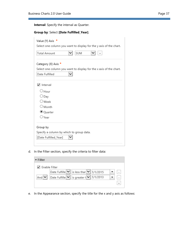**Interval**: Specify the interval as Quarter.

|                     | Group by: Select [Date Fulfilled_Year].                            |
|---------------------|--------------------------------------------------------------------|
|                     | Value (Y) Axis *                                                   |
|                     | Select one column you want to display for the y axis of the chart. |
| <b>Total Amount</b> | SUM                                                                |
|                     | Category (X) Axis *                                                |
|                     | Select one column you want to display for the x axis of the chart. |
| Date Fulfilled      |                                                                    |
| $\sqrt{}$ Interval  |                                                                    |
| O Hour              |                                                                    |
| $\bigcirc$ Day      |                                                                    |
| $\bigcirc$ Week     |                                                                    |
| $\bigcirc$ Month    |                                                                    |
|                     | <sup>●</sup> Quarter                                               |
| ○ Year              |                                                                    |
| Group by            | Specify a column by which to group data.<br>[Date Fulfilled_Year]  |
|                     |                                                                    |

d. In the Filter section, specify the criteria to filter data:

| $\overline{\phantom{a}}$ Filter |                                                 |                          |
|---------------------------------|-------------------------------------------------|--------------------------|
|                                 | Enable Filter                                   |                          |
|                                 | Date Fulfille $ v $ is less thar $ v $ 1/1/2015 |                          |
| And $ v $                       | Date Fulfille V is greater t V 1/1/2013         | $\overline{\phantom{a}}$ |
|                                 |                                                 |                          |
|                                 |                                                 |                          |

e. In the Appearance section, specify the title for the x and y axis as follows: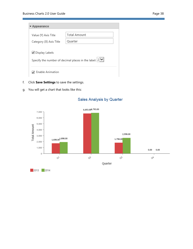| $\blacktriangleright$ Appearance |                                                                 |
|----------------------------------|-----------------------------------------------------------------|
|                                  |                                                                 |
| Value (Y) Axis Title             | <b>Total Amount</b>                                             |
| Category (X) Axis Title          | Quarter                                                         |
|                                  |                                                                 |
| ■ Display Labels                 |                                                                 |
|                                  | Specify the number of decimal places in the label: $ 2 $ $\vee$ |
| Enable Animation                 |                                                                 |

- f. Click **Save Settings** to save the settings.
- g. You will get a chart that looks like this:



## Sales Analysis by Quarter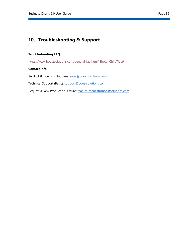## <span id="page-42-0"></span>**10. Troubleshooting & Support**

#### **Troubleshooting FAQ:**

https://www.boostsolutions.com/general-faq.html#Show=ChildTitle9

#### **Contact Info:**

Product & Licensing Inquires: sales@boostsolutions.com

Technical Support (Basic): support@boostsolutions.com

Request a New Product or Feature: feature request@boostsolutions.com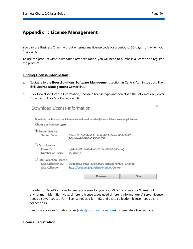×

## <span id="page-43-0"></span>**Appendix 1: License Management**

You can use Business Charts without entering any license code for a period of 30 days from when you first use it.

To use the product without limitation after expiration, you will need to purchase a license and register the product.

#### **Finding License Information**

- a. Navigate to the **BoostSolutions Software Management** section in Central Administration. Then, click **License Management Center** link.
- b. Click Download License Information, choose a license type and download the information (Server Code, Farm ID or Site Collection ID).

| Download License Information                                       |                                                                                            |       |
|--------------------------------------------------------------------|--------------------------------------------------------------------------------------------|-------|
| Choose a license type                                              | Download the license type information and send to sales@boostsolutions.com to get license. |       |
| י Server License<br>Server Code:                                   | 24edc5f10a7f4ca091bbc0fab63d3eaab468c3b17<br>b5c44ee96d9b8e595000357                       |       |
| Farm License<br>Farm ID:<br>Number of Users:                       | {24edc5f1-0a7f-4ca0-91bb-c0fab63d3eaa}<br>$22$ user $(s)$                                  |       |
| Site Collection License<br>Site Collection ID:<br>Site Collection: | 38d6d052-0dab-43dc-a669-cdd5ad7d7f3d Change<br>http://product2013/sites/Product Center     |       |
|                                                                    | Download                                                                                   | Close |

In order for BoostSolutions to create a license for you, you MUST send us your SharePoint environment identifier (Note: different license types need different information). A server license needs a server code; a Farm license needs a farm ID; and a site collection license needs a site collection ID.

c. Send the above information to us (sales@boostsolutions.com) to generate a license code.

#### **License Registration**